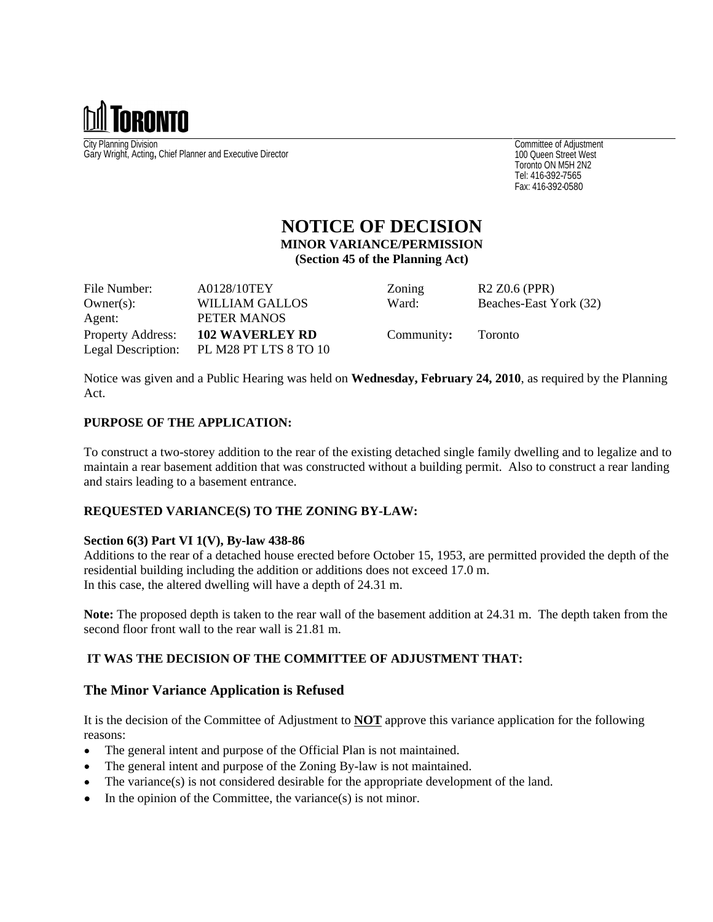

City Planning Division Gary Wright, Acting**,** Chief Planner and Executive Director

Committee of Adjustment 100 Queen Street West Toronto ON M5H 2N2 Tel: 416-392-7565 Fax: 416-392-0580

# **NOTICE OF DECISION**

**MINOR VARIANCE/PERMISSION**

**(Section 45 of the Planning Act)**

File Number:  $A0128/10T EY$  Zoning R2 Z0.6 (PPR) Owner(s): WILLIAM GALLOS Ward: Beaches-East York (32) Agent: PETER MANOS Property Address: **102 WAVERLEY RD** Community**:** Toronto Legal Description: PL M28 PT LTS 8 TO 10

Notice was given and a Public Hearing was held on **Wednesday, February 24, 2010**, as required by the Planning Act.

## **PURPOSE OF THE APPLICATION:**

To construct a two-storey addition to the rear of the existing detached single family dwelling and to legalize and to maintain a rear basement addition that was constructed without a building permit. Also to construct a rear landing and stairs leading to a basement entrance.

## **REQUESTED VARIANCE(S) TO THE ZONING BY-LAW:**

#### **Section 6(3) Part VI 1(V), By-law 438-86**

Additions to the rear of a detached house erected before October 15, 1953, are permitted provided the depth of the residential building including the addition or additions does not exceed 17.0 m. In this case, the altered dwelling will have a depth of 24.31 m.

**Note:** The proposed depth is taken to the rear wall of the basement addition at 24.31 m. The depth taken from the second floor front wall to the rear wall is 21.81 m.

## **IT WAS THE DECISION OF THE COMMITTEE OF ADJUSTMENT THAT:**

## **The Minor Variance Application is Refused**

It is the decision of the Committee of Adjustment to **NOT** approve this variance application for the following reasons:

- The general intent and purpose of the Official Plan is not maintained.  $\bullet$
- The general intent and purpose of the Zoning By-law is not maintained.
- The variance(s) is not considered desirable for the appropriate development of the land.
- $\bullet$  In the opinion of the Committee, the variance(s) is not minor.